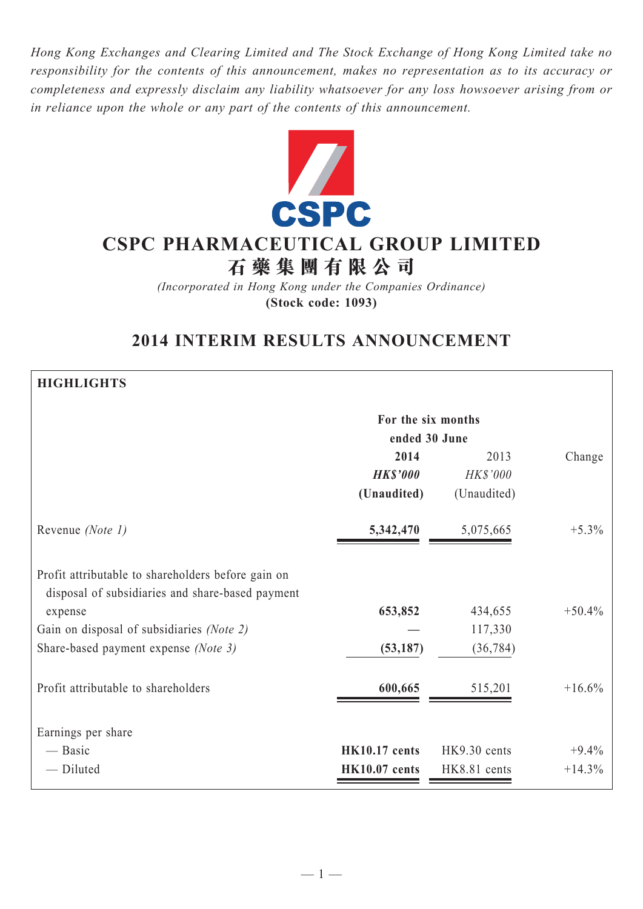*Hong Kong Exchanges and Clearing Limited and The Stock Exchange of Hong Kong Limited take no responsibility for the contents of this announcement, makes no representation as to its accuracy or completeness and expressly disclaim any liability whatsoever for any loss howsoever arising from or in reliance upon the whole or any part of the contents of this announcement.*



# **CSPC Pharmaceutical Group Limited 石 藥 集 團 有 限 公 司**

*(Incorporated in Hong Kong under the Companies Ordinance)* **(Stock code: 1093)**

# **2014 INTERIM RESULTS ANNOUNCEMENT**

## **HIGHLIGHTS**

|                                                                                                                                                                                                        | For the six months<br>ended 30 June          |                                 |                     |
|--------------------------------------------------------------------------------------------------------------------------------------------------------------------------------------------------------|----------------------------------------------|---------------------------------|---------------------|
|                                                                                                                                                                                                        | 2014<br><b>HK\$'000</b><br>(Unaudited)       | 2013<br>HK\$'000<br>(Unaudited) | Change              |
| Revenue (Note 1)                                                                                                                                                                                       | 5,342,470                                    | 5,075,665                       | $+5.3\%$            |
| Profit attributable to shareholders before gain on<br>disposal of subsidiaries and share-based payment<br>expense<br>Gain on disposal of subsidiaries (Note 2)<br>Share-based payment expense (Note 3) | 653,852<br>(53, 187)                         | 434,655<br>117,330<br>(36, 784) | $+50.4%$            |
| Profit attributable to shareholders                                                                                                                                                                    | 600,665                                      | 515,201                         | $+16.6%$            |
| Earnings per share<br>— Basic<br>- Diluted                                                                                                                                                             | <b>HK10.17</b> cents<br><b>HK10.07</b> cents | HK9.30 cents<br>HK8.81 cents    | $+9.4%$<br>$+14.3%$ |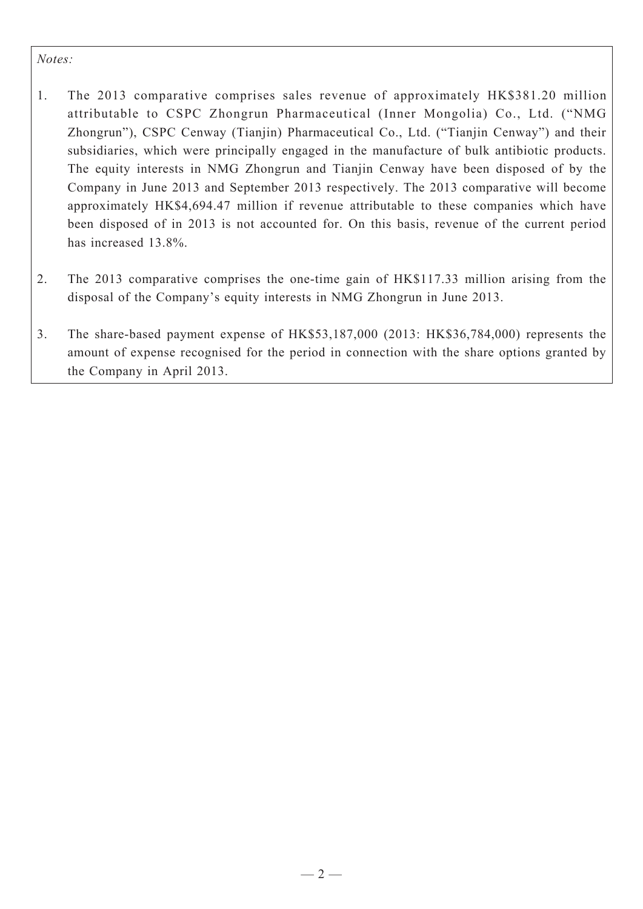## *Notes:*

- 1. The 2013 comparative comprises sales revenue of approximately HK\$381.20 million attributable to CSPC Zhongrun Pharmaceutical (Inner Mongolia) Co., Ltd. ("NMG Zhongrun"), CSPC Cenway (Tianjin) Pharmaceutical Co., Ltd. ("Tianjin Cenway") and their subsidiaries, which were principally engaged in the manufacture of bulk antibiotic products. The equity interests in NMG Zhongrun and Tianjin Cenway have been disposed of by the Company in June 2013 and September 2013 respectively. The 2013 comparative will become approximately HK\$4,694.47 million if revenue attributable to these companies which have been disposed of in 2013 is not accounted for. On this basis, revenue of the current period has increased 13.8%.
- 2. The 2013 comparative comprises the one-time gain of HK\$117.33 million arising from the disposal of the Company's equity interests in NMG Zhongrun in June 2013.
- 3. The share-based payment expense of HK\$53,187,000 (2013: HK\$36,784,000) represents the amount of expense recognised for the period in connection with the share options granted by the Company in April 2013.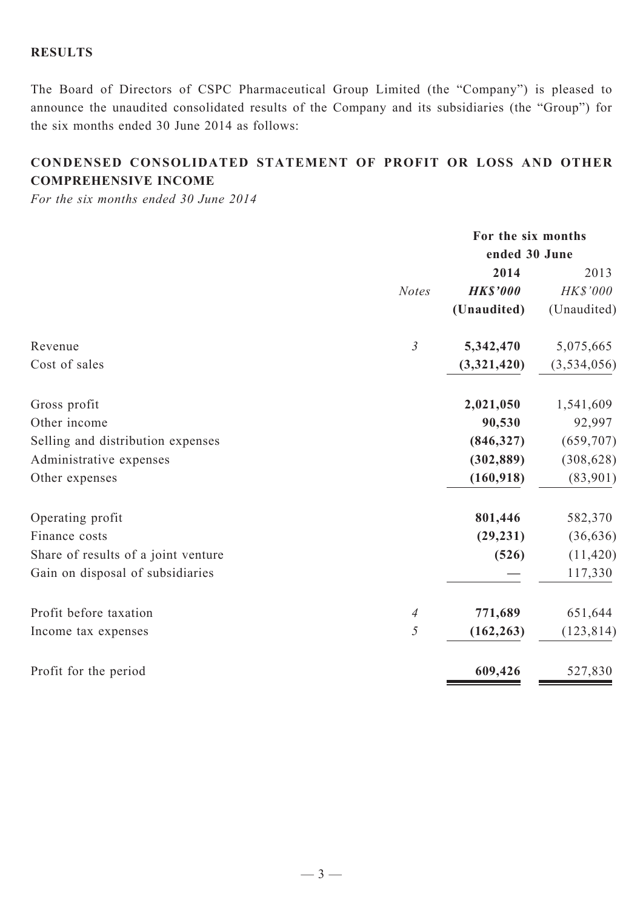## **Results**

The Board of Directors of CSPC Pharmaceutical Group Limited (the "Company") is pleased to announce the unaudited consolidated results of the Company and its subsidiaries (the "Group") for the six months ended 30 June 2014 as follows:

## **CONDENSED CONSOLIDATED STATEMENT OF PROFIT OR LOSS AND OTHER COMPREHENSIVE INCOME**

*For the six months ended 30 June 2014*

|                                     |                | For the six months |               |  |
|-------------------------------------|----------------|--------------------|---------------|--|
|                                     | ended 30 June  |                    |               |  |
|                                     |                | 2014               | 2013          |  |
|                                     | <b>Notes</b>   | <b>HK\$'000</b>    | HK\$'000      |  |
|                                     |                | (Unaudited)        | (Unaudited)   |  |
| Revenue                             | $\mathfrak{Z}$ | 5,342,470          | 5,075,665     |  |
| Cost of sales                       |                | (3,321,420)        | (3, 534, 056) |  |
| Gross profit                        |                | 2,021,050          | 1,541,609     |  |
| Other income                        |                | 90,530             | 92,997        |  |
| Selling and distribution expenses   |                | (846, 327)         | (659, 707)    |  |
| Administrative expenses             |                | (302, 889)         | (308, 628)    |  |
| Other expenses                      |                | (160, 918)         | (83,901)      |  |
| Operating profit                    |                | 801,446            | 582,370       |  |
| Finance costs                       |                | (29, 231)          | (36, 636)     |  |
| Share of results of a joint venture |                | (526)              | (11, 420)     |  |
| Gain on disposal of subsidiaries    |                |                    | 117,330       |  |
| Profit before taxation              | $\overline{A}$ | 771,689            | 651,644       |  |
| Income tax expenses                 | 5              | (162, 263)         | (123, 814)    |  |
| Profit for the period               |                | 609,426            | 527,830       |  |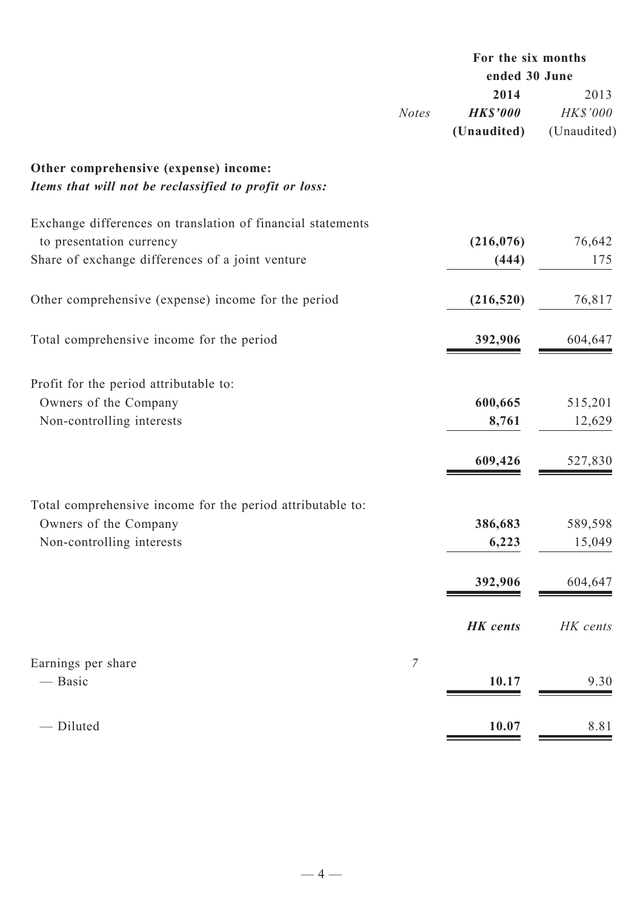|                                                                                                 |                  |                                        | For the six months<br>ended 30 June    |  |
|-------------------------------------------------------------------------------------------------|------------------|----------------------------------------|----------------------------------------|--|
|                                                                                                 | <b>Notes</b>     | 2014<br><b>HK\$'000</b><br>(Unaudited) | 2013<br><b>HK\$'000</b><br>(Unaudited) |  |
| Other comprehensive (expense) income:<br>Items that will not be reclassified to profit or loss: |                  |                                        |                                        |  |
| Exchange differences on translation of financial statements                                     |                  |                                        |                                        |  |
| to presentation currency<br>Share of exchange differences of a joint venture                    |                  | (216, 076)<br>(444)                    | 76,642<br>175                          |  |
| Other comprehensive (expense) income for the period                                             |                  | (216, 520)                             | 76,817                                 |  |
| Total comprehensive income for the period                                                       |                  | 392,906                                | 604,647                                |  |
| Profit for the period attributable to:                                                          |                  |                                        |                                        |  |
| Owners of the Company<br>Non-controlling interests                                              |                  | 600,665<br>8,761                       | 515,201<br>12,629                      |  |
|                                                                                                 |                  | 609,426                                | 527,830                                |  |
| Total comprehensive income for the period attributable to:                                      |                  |                                        |                                        |  |
| Owners of the Company                                                                           |                  | 386,683                                | 589,598                                |  |
| Non-controlling interests                                                                       |                  | 6,223                                  | 15,049                                 |  |
|                                                                                                 |                  | 392,906                                | 604,647                                |  |
|                                                                                                 |                  | <b>HK</b> cents                        | HK cents                               |  |
| Earnings per share                                                                              | $\boldsymbol{7}$ |                                        |                                        |  |
| — Basic                                                                                         |                  | 10.17                                  | 9.30                                   |  |
| - Diluted                                                                                       |                  | 10.07                                  | 8.81                                   |  |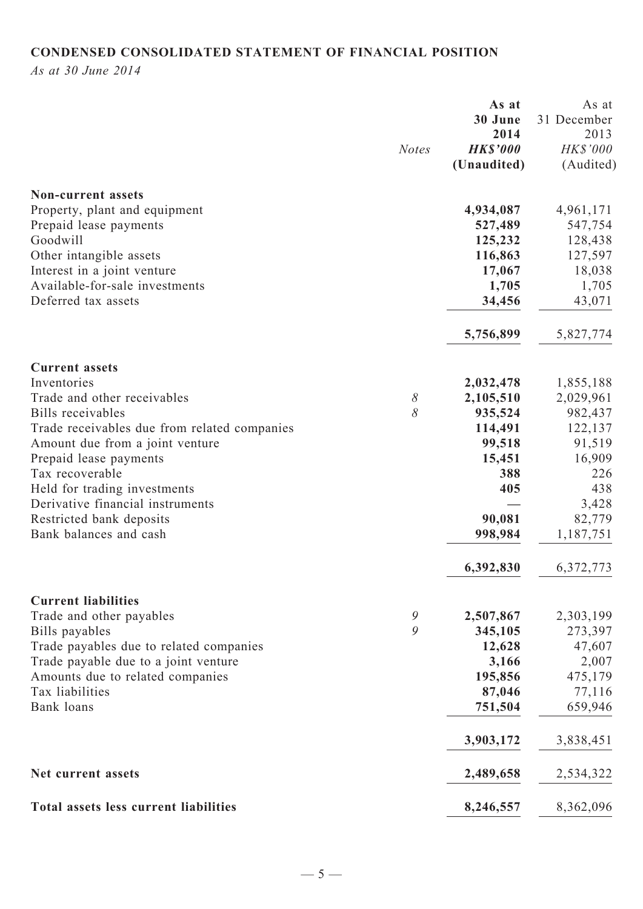## **CONDENSED CONSOLIDATED STATEMENT OF FINANCIAL POSITION**

*As at 30 June 2014*

|                                              |              | As at           | As at       |
|----------------------------------------------|--------------|-----------------|-------------|
|                                              |              | 30 June         | 31 December |
|                                              |              | 2014            | 2013        |
|                                              | <b>Notes</b> | <b>HK\$'000</b> | HK\$'000    |
|                                              |              | (Unaudited)     | (Audited)   |
| <b>Non-current assets</b>                    |              |                 |             |
| Property, plant and equipment                |              | 4,934,087       | 4,961,171   |
| Prepaid lease payments                       |              | 527,489         | 547,754     |
| Goodwill                                     |              | 125,232         | 128,438     |
| Other intangible assets                      |              | 116,863         | 127,597     |
| Interest in a joint venture                  |              | 17,067          | 18,038      |
| Available-for-sale investments               |              | 1,705           | 1,705       |
| Deferred tax assets                          |              | 34,456          | 43,071      |
|                                              |              | 5,756,899       | 5,827,774   |
| <b>Current assets</b>                        |              |                 |             |
| Inventories                                  |              | 2,032,478       | 1,855,188   |
| Trade and other receivables                  | $\mathcal S$ | 2,105,510       | 2,029,961   |
| Bills receivables                            | 8            | 935,524         | 982,437     |
| Trade receivables due from related companies |              | 114,491         | 122,137     |
| Amount due from a joint venture              |              | 99,518          | 91,519      |
| Prepaid lease payments                       |              | 15,451          | 16,909      |
| Tax recoverable                              |              | 388             | 226         |
| Held for trading investments                 |              | 405             | 438         |
| Derivative financial instruments             |              |                 | 3,428       |
| Restricted bank deposits                     |              | 90,081          | 82,779      |
| Bank balances and cash                       |              | 998,984         | 1,187,751   |
|                                              |              | 6,392,830       | 6,372,773   |
| <b>Current liabilities</b>                   |              |                 |             |
| Trade and other payables                     | 9            | 2,507,867       | 2,303,199   |
| Bills payables                               | 9            | 345,105         | 273,397     |
| Trade payables due to related companies      |              | 12,628          | 47,607      |
| Trade payable due to a joint venture         |              | 3,166           | 2,007       |
| Amounts due to related companies             |              | 195,856         | 475,179     |
| Tax liabilities                              |              | 87,046          | 77,116      |
| Bank loans                                   |              | 751,504         | 659,946     |
|                                              |              | 3,903,172       | 3,838,451   |
| Net current assets                           |              | 2,489,658       | 2,534,322   |
| Total assets less current liabilities        |              | 8,246,557       | 8,362,096   |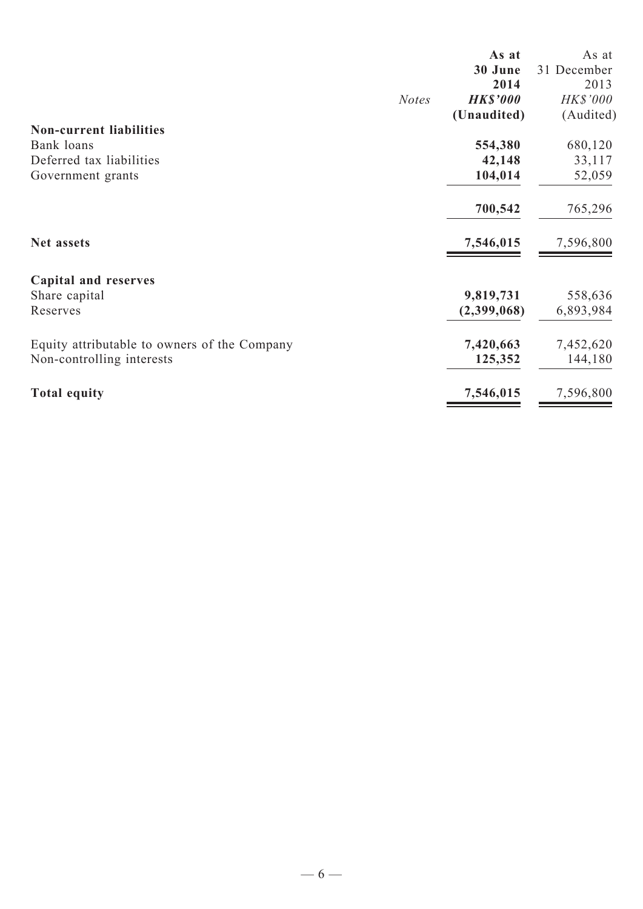|                                              | As at                           | As at           |
|----------------------------------------------|---------------------------------|-----------------|
|                                              | 30 June                         | 31 December     |
|                                              | 2014                            | 2013            |
|                                              | <b>Notes</b><br><b>HK\$'000</b> | <b>HK\$'000</b> |
|                                              | (Unaudited)                     | (Audited)       |
| <b>Non-current liabilities</b>               |                                 |                 |
| Bank loans                                   | 554,380                         | 680,120         |
| Deferred tax liabilities                     | 42,148                          | 33,117          |
| Government grants                            | 104,014                         | 52,059          |
|                                              | 700,542                         | 765,296         |
| Net assets                                   | 7,546,015                       | 7,596,800       |
| <b>Capital and reserves</b>                  |                                 |                 |
| Share capital                                | 9,819,731                       | 558,636         |
| Reserves                                     | (2,399,068)                     | 6,893,984       |
| Equity attributable to owners of the Company | 7,420,663                       | 7,452,620       |
| Non-controlling interests                    | 125,352                         | 144,180         |
| <b>Total equity</b>                          | 7,546,015                       | 7,596,800       |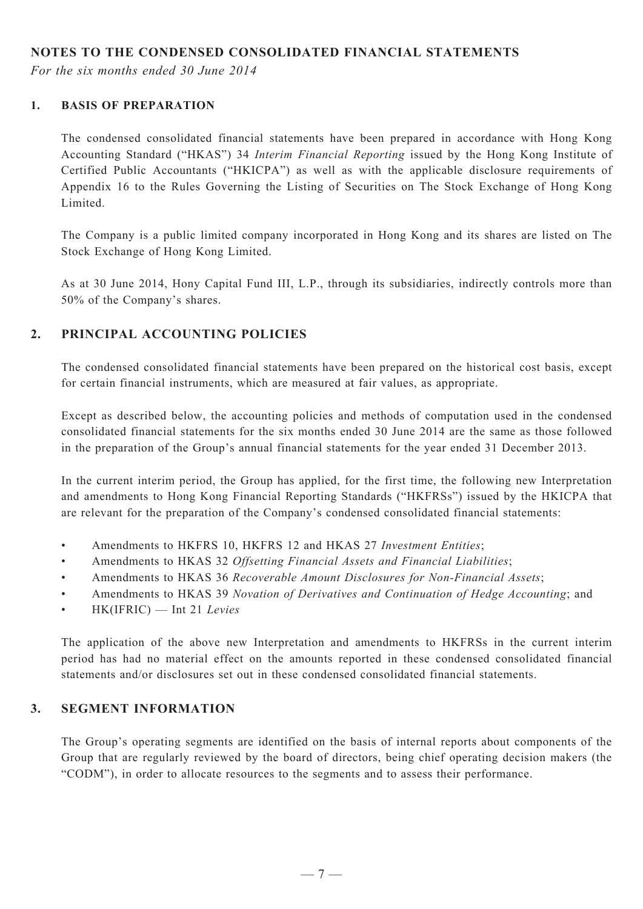## **NOTES TO THE CONDENSED CONSOLIDATED FINANCIAL STATEMENTS**

*For the six months ended 30 June 2014*

#### **1. BASIS OF PREPARATION**

The condensed consolidated financial statements have been prepared in accordance with Hong Kong Accounting Standard ("HKAS") 34 *Interim Financial Reporting* issued by the Hong Kong Institute of Certified Public Accountants ("HKICPA") as well as with the applicable disclosure requirements of Appendix 16 to the Rules Governing the Listing of Securities on The Stock Exchange of Hong Kong Limited.

The Company is a public limited company incorporated in Hong Kong and its shares are listed on The Stock Exchange of Hong Kong Limited.

As at 30 June 2014, Hony Capital Fund III, L.P., through its subsidiaries, indirectly controls more than 50% of the Company's shares.

#### **2. PRINCIPAL ACCOUNTING POLICIES**

The condensed consolidated financial statements have been prepared on the historical cost basis, except for certain financial instruments, which are measured at fair values, as appropriate.

Except as described below, the accounting policies and methods of computation used in the condensed consolidated financial statements for the six months ended 30 June 2014 are the same as those followed in the preparation of the Group's annual financial statements for the year ended 31 December 2013.

In the current interim period, the Group has applied, for the first time, the following new Interpretation and amendments to Hong Kong Financial Reporting Standards ("HKFRSs") issued by the HKICPA that are relevant for the preparation of the Company's condensed consolidated financial statements:

- • Amendments to HKFRS 10, HKFRS 12 and HKAS 27 *Investment Entities*;
- Amendments to HKAS 32 Offsetting Financial Assets and Financial Liabilities;
- • Amendments to HKAS 36 *Recoverable Amount Disclosures for Non-Financial Assets*;
- • Amendments to HKAS 39 *Novation of Derivatives and Continuation of Hedge Accounting*; and
- • HK(IFRIC) Int 21 *Levies*

The application of the above new Interpretation and amendments to HKFRSs in the current interim period has had no material effect on the amounts reported in these condensed consolidated financial statements and/or disclosures set out in these condensed consolidated financial statements.

#### **3. SEGMENT INFORMATION**

The Group's operating segments are identified on the basis of internal reports about components of the Group that are regularly reviewed by the board of directors, being chief operating decision makers (the "CODM"), in order to allocate resources to the segments and to assess their performance.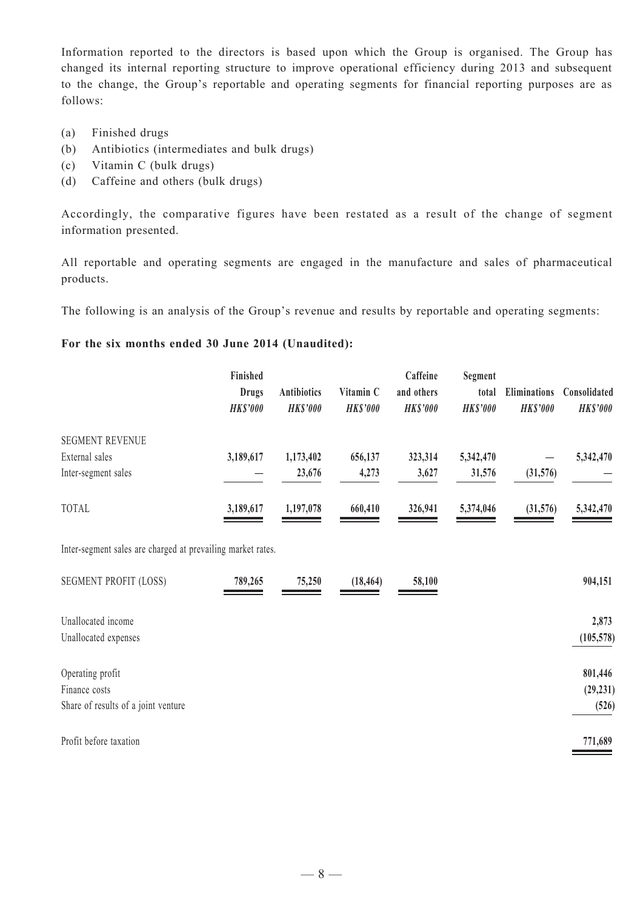Information reported to the directors is based upon which the Group is organised. The Group has changed its internal reporting structure to improve operational efficiency during 2013 and subsequent to the change, the Group's reportable and operating segments for financial reporting purposes are as follows:

- (a) Finished drugs
- (b) Antibiotics (intermediates and bulk drugs)
- (c) Vitamin C (bulk drugs)
- (d) Caffeine and others (bulk drugs)

Accordingly, the comparative figures have been restated as a result of the change of segment information presented.

All reportable and operating segments are engaged in the manufacture and sales of pharmaceutical products.

The following is an analysis of the Group's revenue and results by reportable and operating segments:

#### **For the six months ended 30 June 2014 (Unaudited):**

|                        | Finished<br>Drugs<br><b>HKS'000</b> | <b>Antibiotics</b><br><b>HKS'000</b> | Vitamin C<br><b>HKS'000</b> | Caffeine<br>and others<br><b>HK\$'000</b> | Segment<br>total<br><b>HKS'000</b> | <b>Eliminations</b><br><b>HKS'000</b> | <b>Consolidated</b><br><b>HK\$'000</b> |
|------------------------|-------------------------------------|--------------------------------------|-----------------------------|-------------------------------------------|------------------------------------|---------------------------------------|----------------------------------------|
| <b>SEGMENT REVENUE</b> |                                     |                                      |                             |                                           |                                    |                                       |                                        |
| External sales         | 3,189,617                           | 1,173,402                            | 656,137                     | 323,314                                   | 5,342,470                          |                                       | 5,342,470                              |
| Inter-segment sales    |                                     | 23,676                               | 4,273                       | 3,627                                     | 31,576                             | (31,576)                              |                                        |
| TOTAL                  | 3,189,617                           | 1,197,078                            | 660,410                     | 326,941                                   | 5,374,046                          | (31,576)                              | 5,342,470                              |

Inter-segment sales are charged at prevailing market rates.

| <b>SEGMENT PROFIT (LOSS)</b>        | 789,265 | 75,250 | (18, 464) | 58,100 | 904,151                      |
|-------------------------------------|---------|--------|-----------|--------|------------------------------|
| Unallocated income                  |         |        |           |        | 2,873                        |
| Unallocated expenses                |         |        |           |        | (105, 578)                   |
| Operating profit                    |         |        |           |        | 801,446                      |
| Finance costs                       |         |        |           |        | (29, 231)                    |
| Share of results of a joint venture |         |        |           |        | (526)                        |
| Profit before taxation              |         |        |           |        | 771,689<br><b>STATISTICS</b> |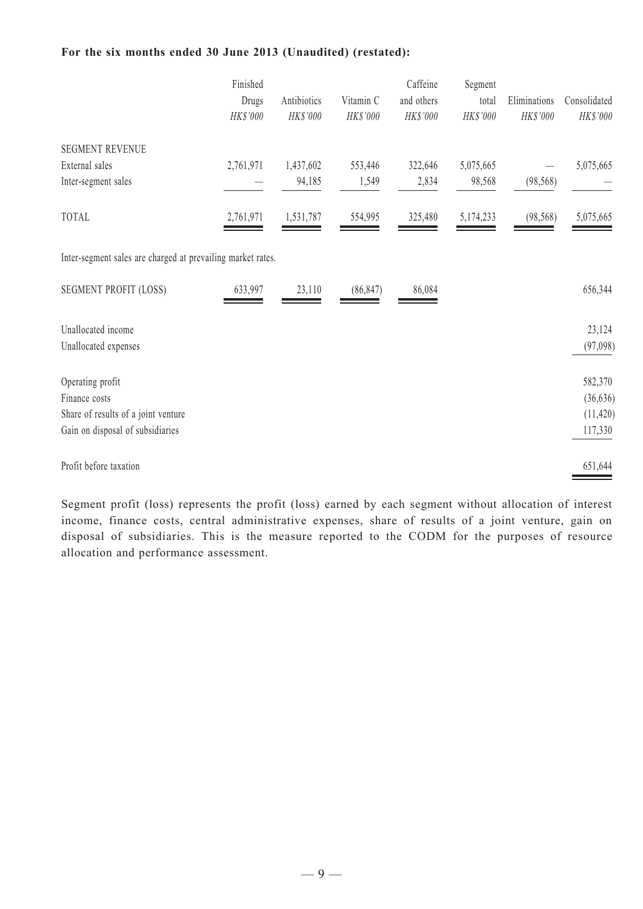#### **For the six months ended 30 June 2013 (Unaudited) (restated):**

|                                                             | Finished<br>Drugs<br>HK\$'000 | Antibiotics<br>HK\$'000 | Vitamin C<br>HK\$'000 | Caffeine<br>and others<br>HK\$'000 | Segment<br>total<br>HK\$'000 | Eliminations<br>HK\$'000 | Consolidated<br>HK\$'000 |
|-------------------------------------------------------------|-------------------------------|-------------------------|-----------------------|------------------------------------|------------------------------|--------------------------|--------------------------|
| <b>SEGMENT REVENUE</b>                                      |                               |                         |                       |                                    |                              |                          |                          |
| External sales                                              | 2,761,971                     | 1,437,602               | 553,446               | 322,646                            | 5,075,665                    |                          | 5,075,665                |
| Inter-segment sales                                         |                               | 94,185                  | 1,549                 | 2,834                              | 98,568                       | (98, 568)                |                          |
| <b>TOTAL</b>                                                | 2,761,971                     | 1,531,787               | 554,995               | 325,480                            | 5,174,233                    | (98, 568)                | 5,075,665                |
| Inter-segment sales are charged at prevailing market rates. |                               |                         |                       |                                    |                              |                          |                          |
| <b>SEGMENT PROFIT (LOSS)</b>                                | 633,997                       | 23,110                  | (86, 847)             | 86,084                             |                              |                          | 656,344                  |
| Unallocated income                                          |                               |                         |                       |                                    |                              |                          | 23,124                   |
| Unallocated expenses                                        |                               |                         |                       |                                    |                              |                          | (97,098)                 |
| Operating profit                                            |                               |                         |                       |                                    |                              |                          | 582,370                  |
| Finance costs                                               |                               |                         |                       |                                    |                              |                          | (36, 636)                |
| Share of results of a joint venture                         |                               |                         |                       |                                    |                              |                          | (11, 420)                |
| Gain on disposal of subsidiaries                            |                               |                         |                       |                                    |                              |                          | 117,330                  |
| Profit before taxation                                      |                               |                         |                       |                                    |                              |                          | 651,644                  |

Segment profit (loss) represents the profit (loss) earned by each segment without allocation of interest income, finance costs, central administrative expenses, share of results of a joint venture, gain on disposal of subsidiaries. This is the measure reported to the CODM for the purposes of resource allocation and performance assessment.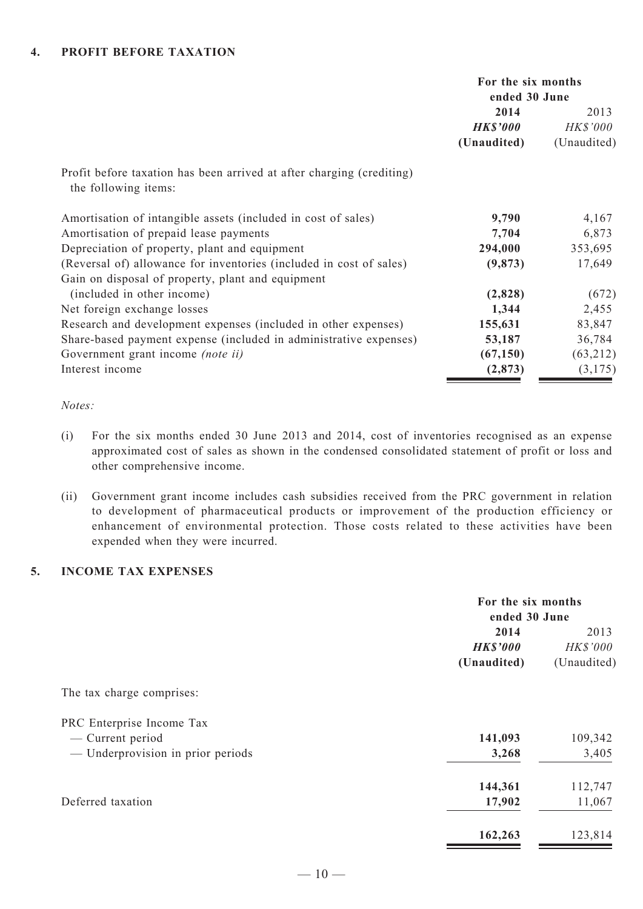|                                                                                               | For the six months<br>ended 30 June |                         |
|-----------------------------------------------------------------------------------------------|-------------------------------------|-------------------------|
|                                                                                               | 2014<br><b>HK\$'000</b>             | 2013<br><b>HK\$'000</b> |
|                                                                                               | (Unaudited)                         | (Unaudited)             |
| Profit before taxation has been arrived at after charging (crediting)<br>the following items: |                                     |                         |
| Amortisation of intangible assets (included in cost of sales)                                 | 9,790                               | 4,167                   |
| Amortisation of prepaid lease payments                                                        | 7,704                               | 6,873                   |
| Depreciation of property, plant and equipment                                                 | 294,000                             | 353,695                 |
| (Reversal of) allowance for inventories (included in cost of sales)                           | (9,873)                             | 17,649                  |
| Gain on disposal of property, plant and equipment                                             |                                     |                         |
| (included in other income)                                                                    | (2,828)                             | (672)                   |
| Net foreign exchange losses                                                                   | 1,344                               | 2,455                   |
| Research and development expenses (included in other expenses)                                | 155,631                             | 83,847                  |
| Share-based payment expense (included in administrative expenses)                             | 53,187                              | 36,784                  |
| Government grant income <i>(note ii)</i>                                                      | (67, 150)                           | (63,212)                |
| Interest income                                                                               | (2, 873)                            | (3, 175)                |

#### *Notes:*

- (i) For the six months ended 30 June 2013 and 2014, cost of inventories recognised as an expense approximated cost of sales as shown in the condensed consolidated statement of profit or loss and other comprehensive income.
- (ii) Government grant income includes cash subsidies received from the PRC government in relation to development of pharmaceutical products or improvement of the production efficiency or enhancement of environmental protection. Those costs related to these activities have been expended when they were incurred.

#### **5. INCOME TAX EXPENSES**

|                                   | For the six months |             |  |
|-----------------------------------|--------------------|-------------|--|
|                                   | ended 30 June      |             |  |
|                                   | 2014               |             |  |
|                                   | <b>HK\$'000</b>    | HK\$'000    |  |
|                                   | (Unaudited)        | (Unaudited) |  |
| The tax charge comprises:         |                    |             |  |
| PRC Enterprise Income Tax         |                    |             |  |
| — Current period                  | 141,093            | 109,342     |  |
| — Underprovision in prior periods | 3,268              | 3,405       |  |
|                                   | 144,361            | 112,747     |  |
| Deferred taxation                 | 17,902             | 11,067      |  |
|                                   | 162,263            | 123,814     |  |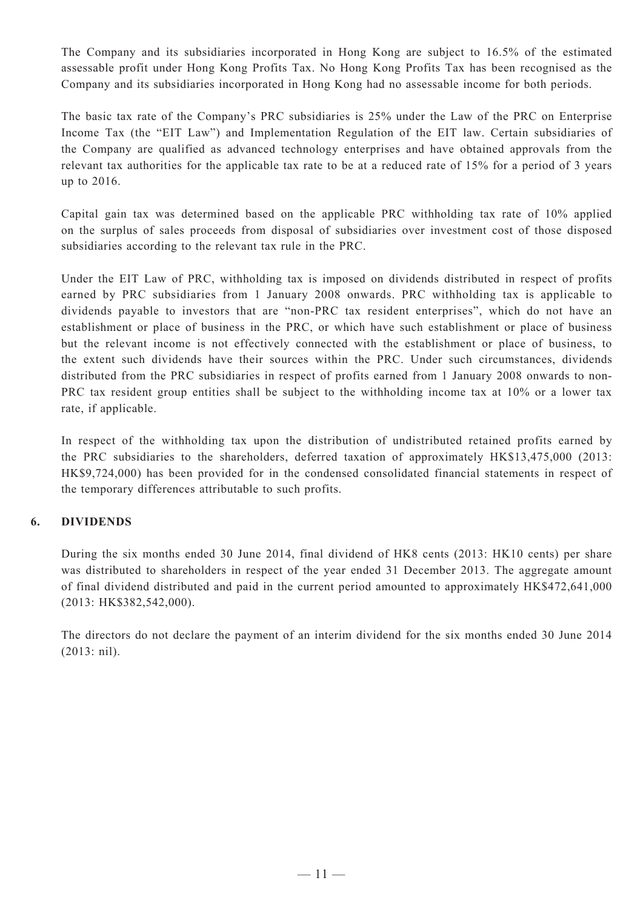The Company and its subsidiaries incorporated in Hong Kong are subject to 16.5% of the estimated assessable profit under Hong Kong Profits Tax. No Hong Kong Profits Tax has been recognised as the Company and its subsidiaries incorporated in Hong Kong had no assessable income for both periods.

The basic tax rate of the Company's PRC subsidiaries is 25% under the Law of the PRC on Enterprise Income Tax (the "EIT Law") and Implementation Regulation of the EIT law. Certain subsidiaries of the Company are qualified as advanced technology enterprises and have obtained approvals from the relevant tax authorities for the applicable tax rate to be at a reduced rate of 15% for a period of 3 years up to 2016.

Capital gain tax was determined based on the applicable PRC withholding tax rate of 10% applied on the surplus of sales proceeds from disposal of subsidiaries over investment cost of those disposed subsidiaries according to the relevant tax rule in the PRC.

Under the EIT Law of PRC, withholding tax is imposed on dividends distributed in respect of profits earned by PRC subsidiaries from 1 January 2008 onwards. PRC withholding tax is applicable to dividends payable to investors that are "non-PRC tax resident enterprises", which do not have an establishment or place of business in the PRC, or which have such establishment or place of business but the relevant income is not effectively connected with the establishment or place of business, to the extent such dividends have their sources within the PRC. Under such circumstances, dividends distributed from the PRC subsidiaries in respect of profits earned from 1 January 2008 onwards to non-PRC tax resident group entities shall be subject to the withholding income tax at 10% or a lower tax rate, if applicable.

In respect of the withholding tax upon the distribution of undistributed retained profits earned by the PRC subsidiaries to the shareholders, deferred taxation of approximately HK\$13,475,000 (2013: HK\$9,724,000) has been provided for in the condensed consolidated financial statements in respect of the temporary differences attributable to such profits.

#### **6. DIVIDENDS**

During the six months ended 30 June 2014, final dividend of HK8 cents (2013: HK10 cents) per share was distributed to shareholders in respect of the year ended 31 December 2013. The aggregate amount of final dividend distributed and paid in the current period amounted to approximately HK\$472,641,000 (2013: HK\$382,542,000).

The directors do not declare the payment of an interim dividend for the six months ended 30 June 2014 (2013: nil).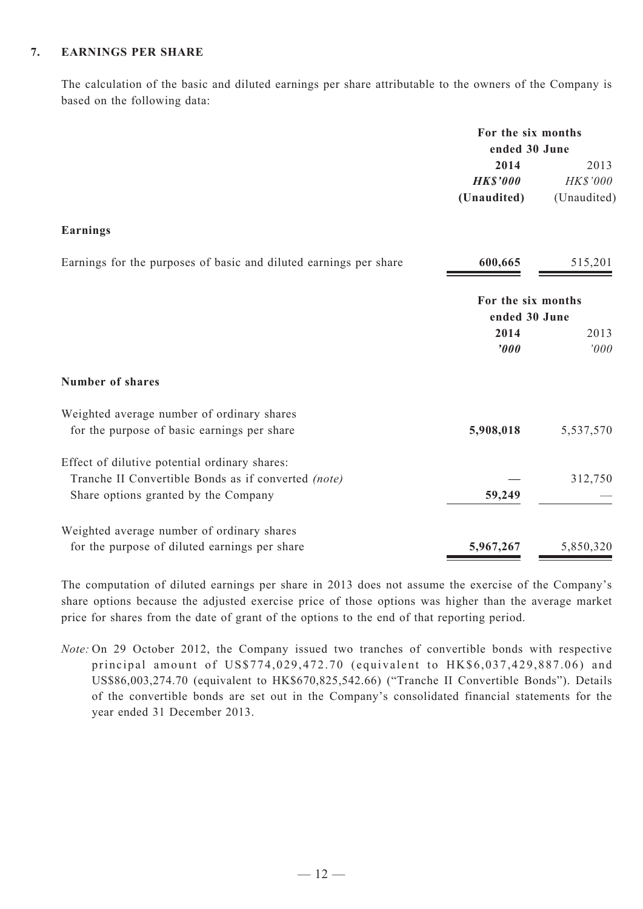#### **7. EARNINGS PER SHARE**

The calculation of the basic and diluted earnings per share attributable to the owners of the Company is based on the following data:

|                                                                   | For the six months<br>ended 30 June |             |
|-------------------------------------------------------------------|-------------------------------------|-------------|
|                                                                   | 2014                                | 2013        |
|                                                                   | <b>HK\$'000</b>                     | HK\$'000    |
|                                                                   | (Unaudited)                         | (Unaudited) |
| Earnings                                                          |                                     |             |
| Earnings for the purposes of basic and diluted earnings per share | 600,665                             | 515,201     |
|                                                                   | For the six months                  |             |
|                                                                   | ended 30 June                       |             |
|                                                                   | 2014                                | 2013        |
|                                                                   | '000                                | '000        |
| <b>Number of shares</b>                                           |                                     |             |
| Weighted average number of ordinary shares                        |                                     |             |
| for the purpose of basic earnings per share                       | 5,908,018                           | 5,537,570   |
| Effect of dilutive potential ordinary shares:                     |                                     |             |
| Tranche II Convertible Bonds as if converted (note)               |                                     | 312,750     |
| Share options granted by the Company                              | 59,249                              |             |
| Weighted average number of ordinary shares                        |                                     |             |
| for the purpose of diluted earnings per share                     | 5,967,267                           | 5,850,320   |
|                                                                   |                                     |             |

The computation of diluted earnings per share in 2013 does not assume the exercise of the Company's share options because the adjusted exercise price of those options was higher than the average market price for shares from the date of grant of the options to the end of that reporting period.

*Note:* On 29 October 2012, the Company issued two tranches of convertible bonds with respective principal amount of US\$774,029,472.70 (equivalent to HK\$6,037,429,887.06) and US\$86,003,274.70 (equivalent to HK\$670,825,542.66) ("Tranche II Convertible Bonds"). Details of the convertible bonds are set out in the Company's consolidated financial statements for the year ended 31 December 2013.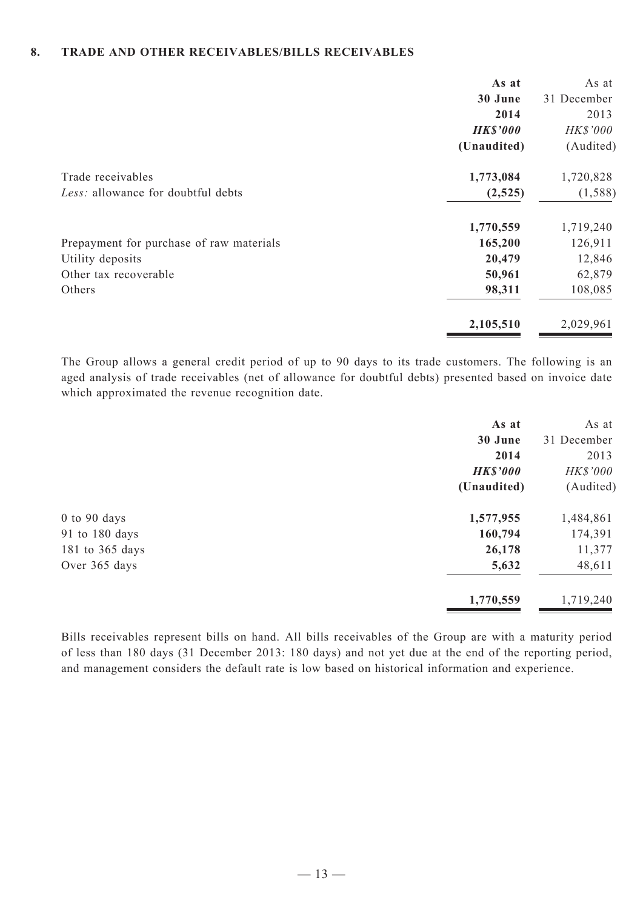#### **8. TRADE AND OTHER RECEIVABLES/BILLS RECEIVABLES**

|                                          | As at           | As at       |
|------------------------------------------|-----------------|-------------|
|                                          | 30 June         | 31 December |
|                                          | 2014            | 2013        |
|                                          | <b>HK\$'000</b> | HK\$'000    |
|                                          | (Unaudited)     | (Audited)   |
| Trade receivables                        | 1,773,084       | 1,720,828   |
| Less: allowance for doubtful debts       | (2,525)         | (1, 588)    |
|                                          | 1,770,559       | 1,719,240   |
| Prepayment for purchase of raw materials | 165,200         | 126,911     |
| Utility deposits                         | 20,479          | 12,846      |
| Other tax recoverable                    | 50,961          | 62,879      |
| Others                                   | 98,311          | 108,085     |
|                                          | 2,105,510       | 2,029,961   |

The Group allows a general credit period of up to 90 days to its trade customers. The following is an aged analysis of trade receivables (net of allowance for doubtful debts) presented based on invoice date which approximated the revenue recognition date.

|                  | As at<br>30 June<br>2014<br><b>HK\$'000</b> | As at<br>31 December<br>2013<br>HK\$'000 |
|------------------|---------------------------------------------|------------------------------------------|
|                  | (Unaudited)                                 | (Audited)                                |
| $0$ to $90$ days | 1,577,955                                   | 1,484,861                                |
| 91 to 180 days   | 160,794                                     | 174,391                                  |
| 181 to 365 days  | 26,178                                      | 11,377                                   |
| Over 365 days    | 5,632                                       | 48,611                                   |
|                  | 1,770,559                                   | 1,719,240                                |

Bills receivables represent bills on hand. All bills receivables of the Group are with a maturity period of less than 180 days (31 December 2013: 180 days) and not yet due at the end of the reporting period, and management considers the default rate is low based on historical information and experience.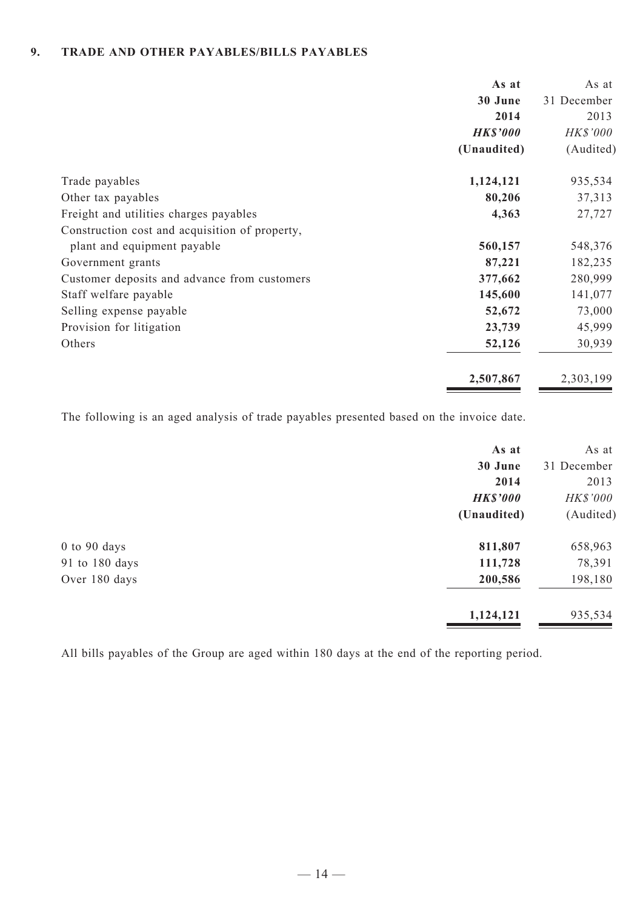## **9. TRADE AND OTHER PAYABLES/BILLS PAYABLES**

|                                                | As at           | As at           |
|------------------------------------------------|-----------------|-----------------|
|                                                | 30 June         | 31 December     |
|                                                | 2014            | 2013            |
|                                                | <b>HK\$'000</b> | <b>HK\$'000</b> |
|                                                | (Unaudited)     | (Audited)       |
| Trade payables                                 | 1,124,121       | 935,534         |
| Other tax payables                             | 80,206          | 37,313          |
| Freight and utilities charges payables         | 4,363           | 27,727          |
| Construction cost and acquisition of property, |                 |                 |
| plant and equipment payable                    | 560,157         | 548,376         |
| Government grants                              | 87,221          | 182,235         |
| Customer deposits and advance from customers   | 377,662         | 280,999         |
| Staff welfare payable                          | 145,600         | 141,077         |
| Selling expense payable                        | 52,672          | 73,000          |
| Provision for litigation                       | 23,739          | 45,999          |
| Others                                         | 52,126          | 30,939          |
|                                                | 2,507,867       | 2,303,199       |

The following is an aged analysis of trade payables presented based on the invoice date.

| As at           | As at       |
|-----------------|-------------|
| 30 June         | 31 December |
| 2014            | 2013        |
| <b>HK\$'000</b> | HK\$'000    |
| (Unaudited)     | (Audited)   |
| 811,807         | 658,963     |
| 111,728         | 78,391      |
| 200,586         | 198,180     |
| 1,124,121       | 935,534     |
|                 |             |

All bills payables of the Group are aged within 180 days at the end of the reporting period.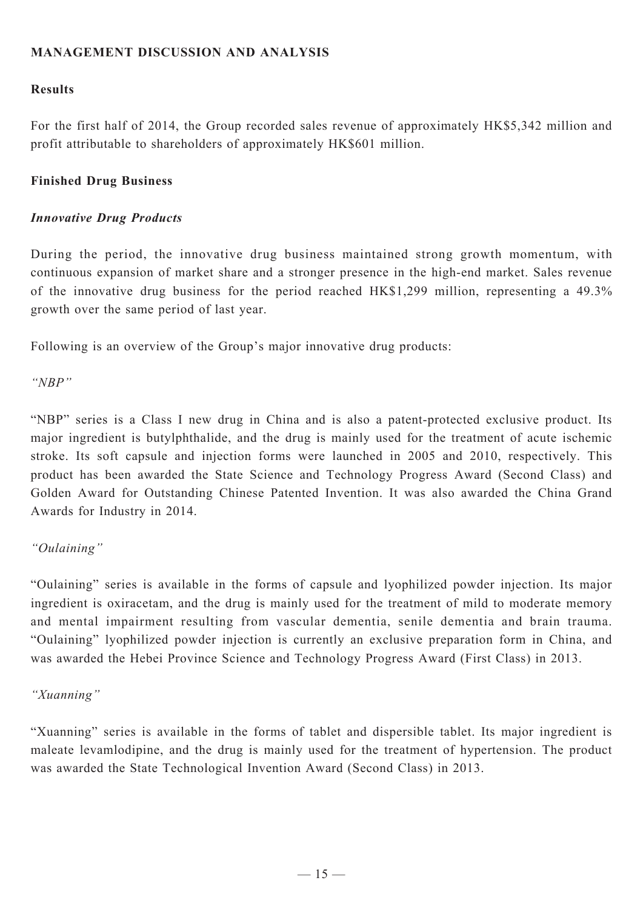## **MANAGEMENT DISCUSSION AND ANALYSIS**

## **Results**

For the first half of 2014, the Group recorded sales revenue of approximately HK\$5,342 million and profit attributable to shareholders of approximately HK\$601 million.

## **Finished Drug Business**

## *Innovative Drug Products*

During the period, the innovative drug business maintained strong growth momentum, with continuous expansion of market share and a stronger presence in the high-end market. Sales revenue of the innovative drug business for the period reached HK\$1,299 million, representing a 49.3% growth over the same period of last year.

Following is an overview of the Group's major innovative drug products:

*"NBP"*

"NBP" series is a Class I new drug in China and is also a patent-protected exclusive product. Its major ingredient is butylphthalide, and the drug is mainly used for the treatment of acute ischemic stroke. Its soft capsule and injection forms were launched in 2005 and 2010, respectively. This product has been awarded the State Science and Technology Progress Award (Second Class) and Golden Award for Outstanding Chinese Patented Invention. It was also awarded the China Grand Awards for Industry in 2014.

## *"Oulaining"*

"Oulaining" series is available in the forms of capsule and lyophilized powder injection. Its major ingredient is oxiracetam, and the drug is mainly used for the treatment of mild to moderate memory and mental impairment resulting from vascular dementia, senile dementia and brain trauma. "Oulaining" lyophilized powder injection is currently an exclusive preparation form in China, and was awarded the Hebei Province Science and Technology Progress Award (First Class) in 2013.

## *"Xuanning"*

"Xuanning" series is available in the forms of tablet and dispersible tablet. Its major ingredient is maleate levamlodipine, and the drug is mainly used for the treatment of hypertension. The product was awarded the State Technological Invention Award (Second Class) in 2013.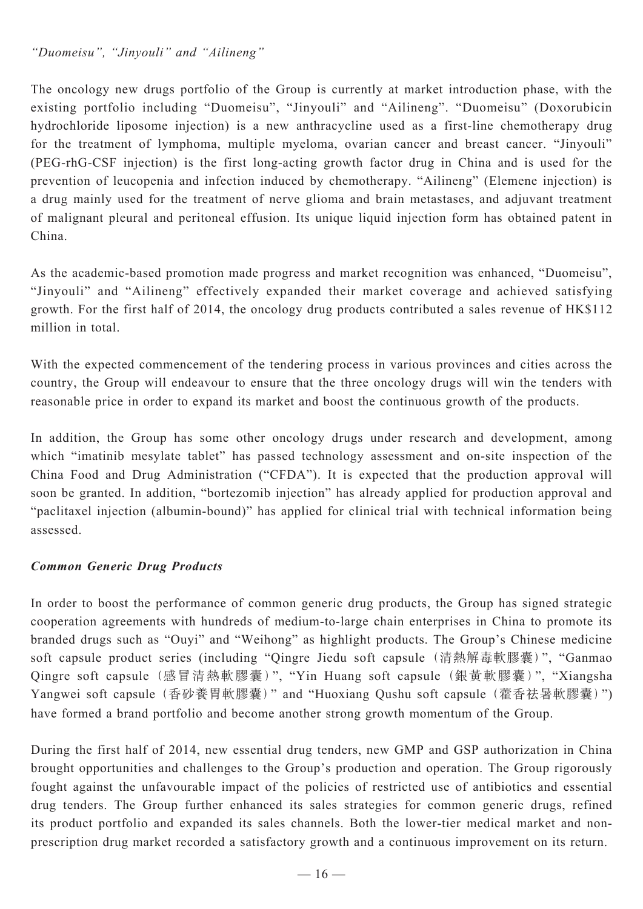*"Duomeisu", "Jinyouli" and "Ailineng"*

The oncology new drugs portfolio of the Group is currently at market introduction phase, with the existing portfolio including "Duomeisu", "Jinyouli" and "Ailineng". "Duomeisu" (Doxorubicin hydrochloride liposome injection) is a new anthracycline used as a first-line chemotherapy drug for the treatment of lymphoma, multiple myeloma, ovarian cancer and breast cancer. "Jinyouli" (PEG-rhG-CSF injection) is the first long-acting growth factor drug in China and is used for the prevention of leucopenia and infection induced by chemotherapy. "Ailineng" (Elemene injection) is a drug mainly used for the treatment of nerve glioma and brain metastases, and adjuvant treatment of malignant pleural and peritoneal effusion. Its unique liquid injection form has obtained patent in China.

As the academic-based promotion made progress and market recognition was enhanced, "Duomeisu", "Jinyouli" and "Ailineng" effectively expanded their market coverage and achieved satisfying growth. For the first half of 2014, the oncology drug products contributed a sales revenue of HK\$112 million in total.

With the expected commencement of the tendering process in various provinces and cities across the country, the Group will endeavour to ensure that the three oncology drugs will win the tenders with reasonable price in order to expand its market and boost the continuous growth of the products.

In addition, the Group has some other oncology drugs under research and development, among which "imatinib mesylate tablet" has passed technology assessment and on-site inspection of the China Food and Drug Administration ("CFDA"). It is expected that the production approval will soon be granted. In addition, "bortezomib injection" has already applied for production approval and "paclitaxel injection (albumin-bound)" has applied for clinical trial with technical information being assessed.

## *Common Generic Drug Products*

In order to boost the performance of common generic drug products, the Group has signed strategic cooperation agreements with hundreds of medium-to-large chain enterprises in China to promote its branded drugs such as "Ouyi" and "Weihong" as highlight products. The Group's Chinese medicine soft capsule product series (including "Qingre Jiedu soft capsule (清熱解毒軟膠囊)", "Ganmao Qingre soft capsule (感冒清熱軟膠囊)", "Yin Huang soft capsule (銀黃軟膠囊)", "Xiangsha Yangwei soft capsule (香砂養胃軟膠囊)" and "Huoxiang Qushu soft capsule (藿香祛暑軟膠囊)") have formed a brand portfolio and become another strong growth momentum of the Group.

During the first half of 2014, new essential drug tenders, new GMP and GSP authorization in China brought opportunities and challenges to the Group's production and operation. The Group rigorously fought against the unfavourable impact of the policies of restricted use of antibiotics and essential drug tenders. The Group further enhanced its sales strategies for common generic drugs, refined its product portfolio and expanded its sales channels. Both the lower-tier medical market and nonprescription drug market recorded a satisfactory growth and a continuous improvement on its return.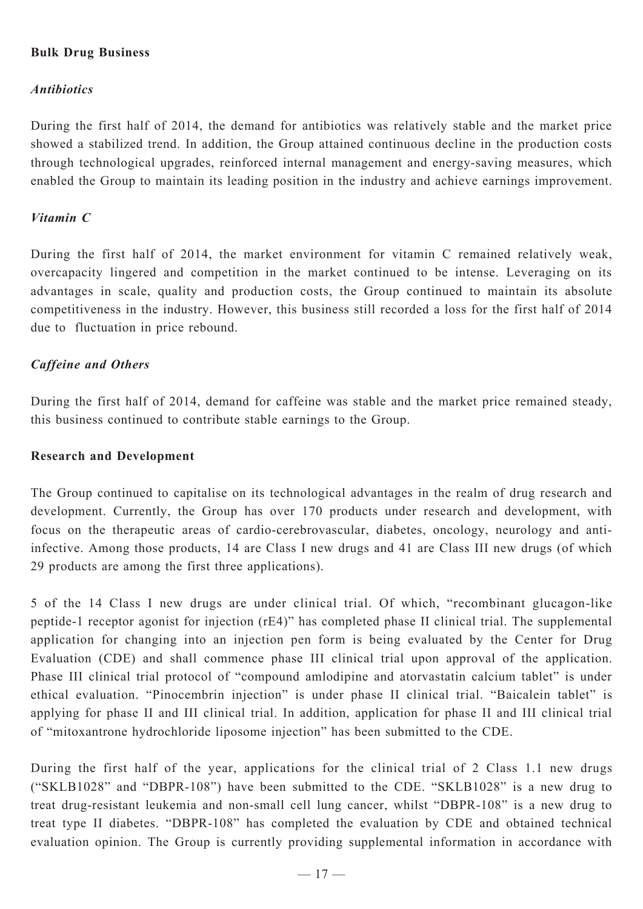## **Bulk Drug Business**

## *Antibiotics*

During the first half of 2014, the demand for antibiotics was relatively stable and the market price showed a stabilized trend. In addition, the Group attained continuous decline in the production costs through technological upgrades, reinforced internal management and energy-saving measures, which enabled the Group to maintain its leading position in the industry and achieve earnings improvement.

## *Vitamin C*

During the first half of 2014, the market environment for vitamin C remained relatively weak, overcapacity lingered and competition in the market continued to be intense. Leveraging on its advantages in scale, quality and production costs, the Group continued to maintain its absolute competitiveness in the industry. However, this business still recorded a loss for the first half of 2014 due to fluctuation in price rebound.

## *Caffeine and Others*

During the first half of 2014, demand for caffeine was stable and the market price remained steady, this business continued to contribute stable earnings to the Group.

#### **Research and Development**

The Group continued to capitalise on its technological advantages in the realm of drug research and development. Currently, the Group has over 170 products under research and development, with focus on the therapeutic areas of cardio-cerebrovascular, diabetes, oncology, neurology and antiinfective. Among those products, 14 are Class I new drugs and 41 are Class III new drugs (of which 29 products are among the first three applications).

5 of the 14 Class I new drugs are under clinical trial. Of which, "recombinant glucagon-like peptide-1 receptor agonist for injection (rE4)" has completed phase II clinical trial. The supplemental application for changing into an injection pen form is being evaluated by the Center for Drug Evaluation (CDE) and shall commence phase III clinical trial upon approval of the application. Phase III clinical trial protocol of "compound amlodipine and atorvastatin calcium tablet" is under ethical evaluation. "Pinocembrin injection" is under phase II clinical trial. "Baicalein tablet" is applying for phase II and III clinical trial. In addition, application for phase II and III clinical trial of "mitoxantrone hydrochloride liposome injection" has been submitted to the CDE.

During the first half of the year, applications for the clinical trial of 2 Class 1.1 new drugs ("SKLB1028" and "DBPR-108") have been submitted to the CDE. "SKLB1028" is a new drug to treat drug-resistant leukemia and non-small cell lung cancer, whilst "DBPR-108" is a new drug to treat type II diabetes. "DBPR-108" has completed the evaluation by CDE and obtained technical evaluation opinion. The Group is currently providing supplemental information in accordance with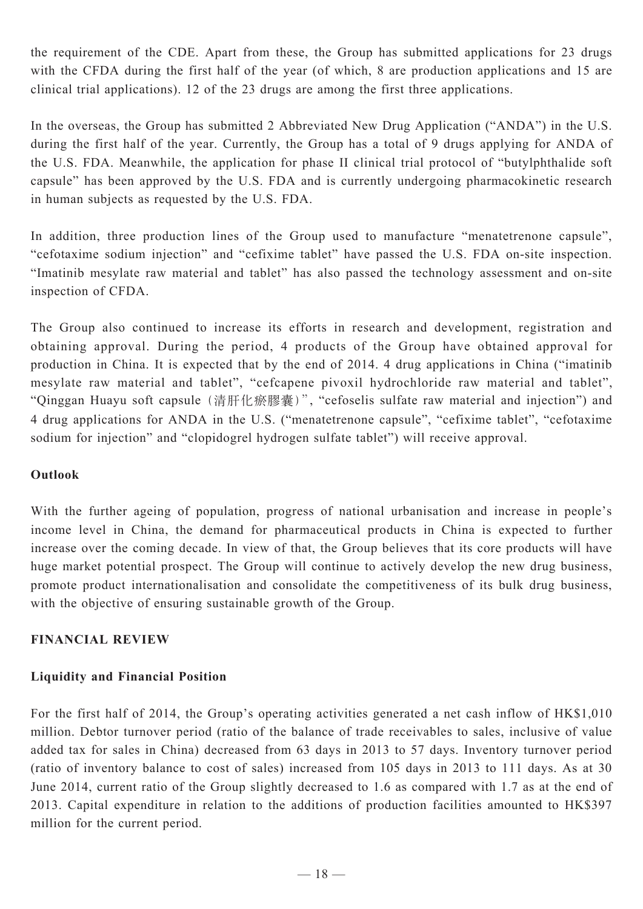the requirement of the CDE. Apart from these, the Group has submitted applications for 23 drugs with the CFDA during the first half of the year (of which, 8 are production applications and 15 are clinical trial applications). 12 of the 23 drugs are among the first three applications.

In the overseas, the Group has submitted 2 Abbreviated New Drug Application ("ANDA") in the U.S. during the first half of the year. Currently, the Group has a total of 9 drugs applying for ANDA of the U.S. FDA. Meanwhile, the application for phase II clinical trial protocol of "butylphthalide soft capsule" has been approved by the U.S. FDA and is currently undergoing pharmacokinetic research in human subjects as requested by the U.S. FDA.

In addition, three production lines of the Group used to manufacture "menatetrenone capsule", "cefotaxime sodium injection" and "cefixime tablet" have passed the U.S. FDA on-site inspection. "Imatinib mesylate raw material and tablet" has also passed the technology assessment and on-site inspection of CFDA.

The Group also continued to increase its efforts in research and development, registration and obtaining approval. During the period, 4 products of the Group have obtained approval for production in China. It is expected that by the end of 2014. 4 drug applications in China ("imatinib mesylate raw material and tablet", "cefcapene pivoxil hydrochloride raw material and tablet", "Qinggan Huayu soft capsule (清肝化瘀膠囊)", "cefoselis sulfate raw material and injection") and 4 drug applications for ANDA in the U.S. ("menatetrenone capsule", "cefixime tablet", "cefotaxime sodium for injection" and "clopidogrel hydrogen sulfate tablet") will receive approval.

## **Outlook**

With the further ageing of population, progress of national urbanisation and increase in people's income level in China, the demand for pharmaceutical products in China is expected to further increase over the coming decade. In view of that, the Group believes that its core products will have huge market potential prospect. The Group will continue to actively develop the new drug business, promote product internationalisation and consolidate the competitiveness of its bulk drug business, with the objective of ensuring sustainable growth of the Group.

## **Financial Review**

## **Liquidity and Financial Position**

For the first half of 2014, the Group's operating activities generated a net cash inflow of HK\$1,010 million. Debtor turnover period (ratio of the balance of trade receivables to sales, inclusive of value added tax for sales in China) decreased from 63 days in 2013 to 57 days. Inventory turnover period (ratio of inventory balance to cost of sales) increased from 105 days in 2013 to 111 days. As at 30 June 2014, current ratio of the Group slightly decreased to 1.6 as compared with 1.7 as at the end of 2013. Capital expenditure in relation to the additions of production facilities amounted to HK\$397 million for the current period.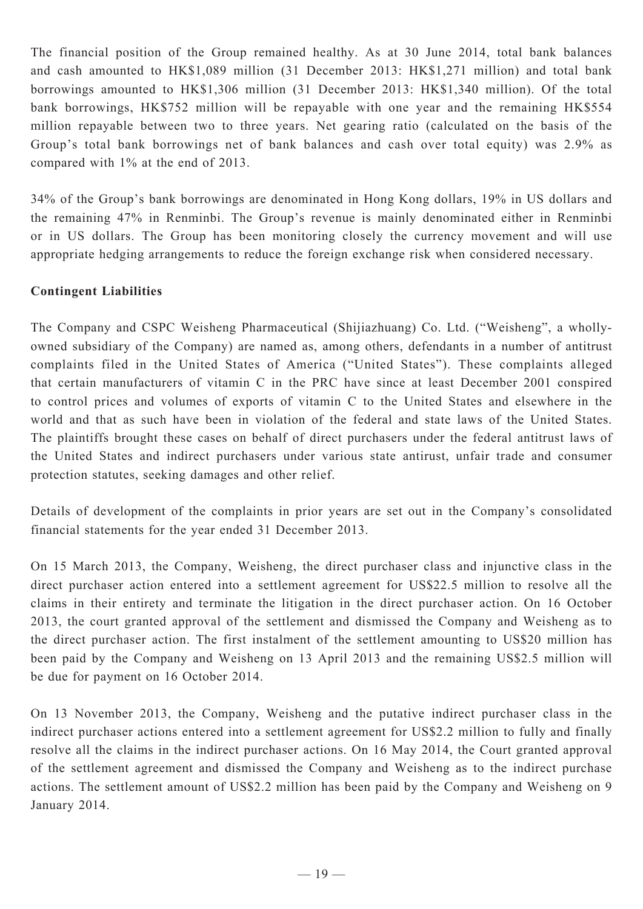The financial position of the Group remained healthy. As at 30 June 2014, total bank balances and cash amounted to HK\$1,089 million (31 December 2013: HK\$1,271 million) and total bank borrowings amounted to HK\$1,306 million (31 December 2013: HK\$1,340 million). Of the total bank borrowings, HK\$752 million will be repayable with one year and the remaining HK\$554 million repayable between two to three years. Net gearing ratio (calculated on the basis of the Group's total bank borrowings net of bank balances and cash over total equity) was 2.9% as compared with 1% at the end of 2013.

34% of the Group's bank borrowings are denominated in Hong Kong dollars, 19% in US dollars and the remaining 47% in Renminbi. The Group's revenue is mainly denominated either in Renminbi or in US dollars. The Group has been monitoring closely the currency movement and will use appropriate hedging arrangements to reduce the foreign exchange risk when considered necessary.

## **Contingent Liabilities**

The Company and CSPC Weisheng Pharmaceutical (Shijiazhuang) Co. Ltd. ("Weisheng", a whollyowned subsidiary of the Company) are named as, among others, defendants in a number of antitrust complaints filed in the United States of America ("United States"). These complaints alleged that certain manufacturers of vitamin C in the PRC have since at least December 2001 conspired to control prices and volumes of exports of vitamin C to the United States and elsewhere in the world and that as such have been in violation of the federal and state laws of the United States. The plaintiffs brought these cases on behalf of direct purchasers under the federal antitrust laws of the United States and indirect purchasers under various state antirust, unfair trade and consumer protection statutes, seeking damages and other relief.

Details of development of the complaints in prior years are set out in the Company's consolidated financial statements for the year ended 31 December 2013.

On 15 March 2013, the Company, Weisheng, the direct purchaser class and injunctive class in the direct purchaser action entered into a settlement agreement for US\$22.5 million to resolve all the claims in their entirety and terminate the litigation in the direct purchaser action. On 16 October 2013, the court granted approval of the settlement and dismissed the Company and Weisheng as to the direct purchaser action. The first instalment of the settlement amounting to US\$20 million has been paid by the Company and Weisheng on 13 April 2013 and the remaining US\$2.5 million will be due for payment on 16 October 2014.

On 13 November 2013, the Company, Weisheng and the putative indirect purchaser class in the indirect purchaser actions entered into a settlement agreement for US\$2.2 million to fully and finally resolve all the claims in the indirect purchaser actions. On 16 May 2014, the Court granted approval of the settlement agreement and dismissed the Company and Weisheng as to the indirect purchase actions. The settlement amount of US\$2.2 million has been paid by the Company and Weisheng on 9 January 2014.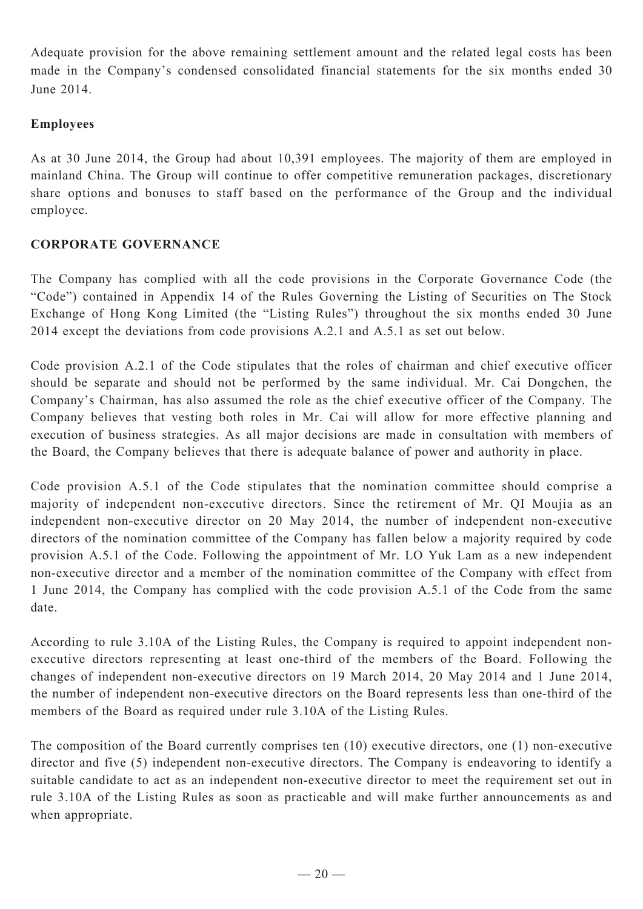Adequate provision for the above remaining settlement amount and the related legal costs has been made in the Company's condensed consolidated financial statements for the six months ended 30 June 2014.

## **Employees**

As at 30 June 2014, the Group had about 10,391 employees. The majority of them are employed in mainland China. The Group will continue to offer competitive remuneration packages, discretionary share options and bonuses to staff based on the performance of the Group and the individual employee.

## **CORPORATE GOVERNANCE**

The Company has complied with all the code provisions in the Corporate Governance Code (the "Code") contained in Appendix 14 of the Rules Governing the Listing of Securities on The Stock Exchange of Hong Kong Limited (the "Listing Rules") throughout the six months ended 30 June 2014 except the deviations from code provisions A.2.1 and A.5.1 as set out below.

Code provision A.2.1 of the Code stipulates that the roles of chairman and chief executive officer should be separate and should not be performed by the same individual. Mr. Cai Dongchen, the Company's Chairman, has also assumed the role as the chief executive officer of the Company. The Company believes that vesting both roles in Mr. Cai will allow for more effective planning and execution of business strategies. As all major decisions are made in consultation with members of the Board, the Company believes that there is adequate balance of power and authority in place.

Code provision A.5.1 of the Code stipulates that the nomination committee should comprise a majority of independent non-executive directors. Since the retirement of Mr. QI Moujia as an independent non-executive director on 20 May 2014, the number of independent non-executive directors of the nomination committee of the Company has fallen below a majority required by code provision A.5.1 of the Code. Following the appointment of Mr. LO Yuk Lam as a new independent non-executive director and a member of the nomination committee of the Company with effect from 1 June 2014, the Company has complied with the code provision A.5.1 of the Code from the same date.

According to rule 3.10A of the Listing Rules, the Company is required to appoint independent nonexecutive directors representing at least one-third of the members of the Board. Following the changes of independent non-executive directors on 19 March 2014, 20 May 2014 and 1 June 2014, the number of independent non-executive directors on the Board represents less than one-third of the members of the Board as required under rule 3.10A of the Listing Rules.

The composition of the Board currently comprises ten (10) executive directors, one (1) non-executive director and five (5) independent non-executive directors. The Company is endeavoring to identify a suitable candidate to act as an independent non-executive director to meet the requirement set out in rule 3.10A of the Listing Rules as soon as practicable and will make further announcements as and when appropriate.